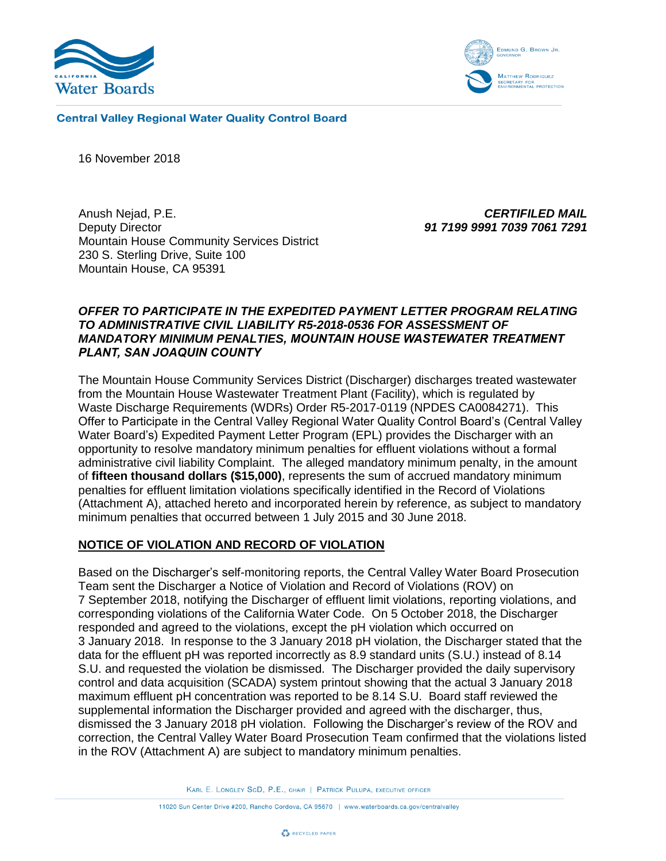



**Central Valley Regional Water Quality Control Board** 

16 November 2018

Anush Nejad, P.E. Deputy Director Mountain House Community Services District 230 S. Sterling Drive, Suite 100 Mountain House, CA 95391

*CERTIFILED MAIL 91 7199 9991 7039 7061 7291*

### *OFFER TO PARTICIPATE IN THE EXPEDITED PAYMENT LETTER PROGRAM RELATING TO ADMINISTRATIVE CIVIL LIABILITY R5-2018-0536 FOR ASSESSMENT OF MANDATORY MINIMUM PENALTIES, MOUNTAIN HOUSE WASTEWATER TREATMENT PLANT, SAN JOAQUIN COUNTY*

The Mountain House Community Services District (Discharger) discharges treated wastewater from the Mountain House Wastewater Treatment Plant (Facility), which is regulated by Waste Discharge Requirements (WDRs) Order R5-2017-0119 (NPDES CA0084271). This Offer to Participate in the Central Valley Regional Water Quality Control Board's (Central Valley Water Board's) Expedited Payment Letter Program (EPL) provides the Discharger with an opportunity to resolve mandatory minimum penalties for effluent violations without a formal administrative civil liability Complaint. The alleged mandatory minimum penalty, in the amount of **fifteen thousand dollars (\$15,000)**, represents the sum of accrued mandatory minimum penalties for effluent limitation violations specifically identified in the Record of Violations (Attachment A), attached hereto and incorporated herein by reference, as subject to mandatory minimum penalties that occurred between 1 July 2015 and 30 June 2018.

### **NOTICE OF VIOLATION AND RECORD OF VIOLATION**

Based on the Discharger's self-monitoring reports, the Central Valley Water Board Prosecution Team sent the Discharger a Notice of Violation and Record of Violations (ROV) on 7 September 2018, notifying the Discharger of effluent limit violations, reporting violations, and corresponding violations of the California Water Code. On 5 October 2018, the Discharger responded and agreed to the violations, except the pH violation which occurred on 3 January 2018. In response to the 3 January 2018 pH violation, the Discharger stated that the data for the effluent pH was reported incorrectly as 8.9 standard units (S.U.) instead of 8.14 S.U. and requested the violation be dismissed. The Discharger provided the daily supervisory control and data acquisition (SCADA) system printout showing that the actual 3 January 2018 maximum effluent pH concentration was reported to be 8.14 S.U. Board staff reviewed the supplemental information the Discharger provided and agreed with the discharger, thus, dismissed the 3 January 2018 pH violation. Following the Discharger's review of the ROV and correction, the Central Valley Water Board Prosecution Team confirmed that the violations listed in the ROV (Attachment A) are subject to mandatory minimum penalties.

KARL E. LONGLEY SCD, P.E., CHAIR | PATRICK PULUPA, EXECUTIVE OFFICER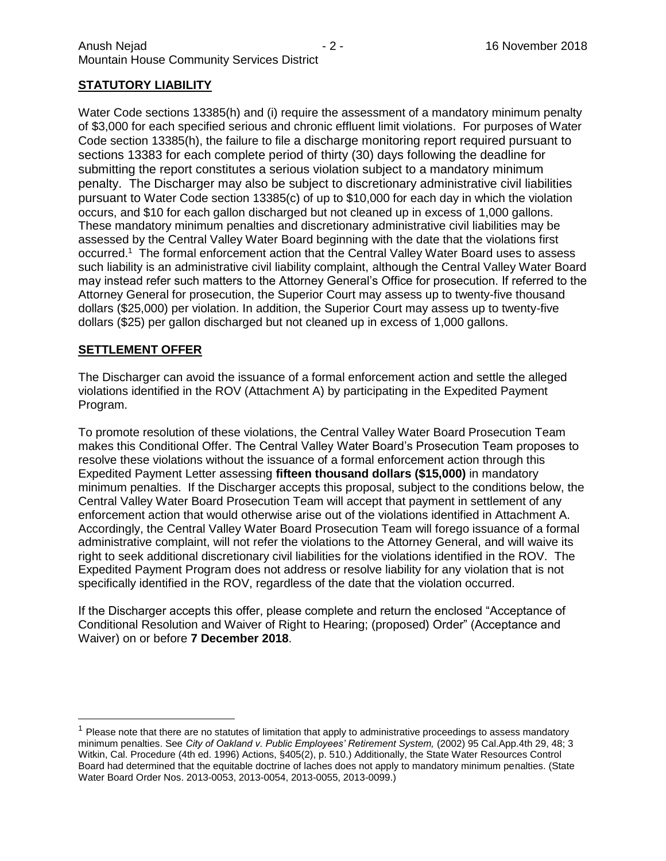## **STATUTORY LIABILITY**

Water Code sections 13385(h) and (i) require the assessment of a mandatory minimum penalty of \$3,000 for each specified serious and chronic effluent limit violations. For purposes of Water Code section 13385(h), the failure to file a discharge monitoring report required pursuant to sections 13383 for each complete period of thirty (30) days following the deadline for submitting the report constitutes a serious violation subject to a mandatory minimum penalty. The Discharger may also be subject to discretionary administrative civil liabilities pursuant to Water Code section 13385(c) of up to \$10,000 for each day in which the violation occurs, and \$10 for each gallon discharged but not cleaned up in excess of 1,000 gallons. These mandatory minimum penalties and discretionary administrative civil liabilities may be assessed by the Central Valley Water Board beginning with the date that the violations first occurred.<sup>1</sup> The formal enforcement action that the Central Valley Water Board uses to assess such liability is an administrative civil liability complaint, although the Central Valley Water Board may instead refer such matters to the Attorney General's Office for prosecution. If referred to the Attorney General for prosecution, the Superior Court may assess up to twenty-five thousand dollars (\$25,000) per violation. In addition, the Superior Court may assess up to twenty-five dollars (\$25) per gallon discharged but not cleaned up in excess of 1,000 gallons.

### **SETTLEMENT OFFER**

 $\overline{a}$ 

The Discharger can avoid the issuance of a formal enforcement action and settle the alleged violations identified in the ROV (Attachment A) by participating in the Expedited Payment Program.

To promote resolution of these violations, the Central Valley Water Board Prosecution Team makes this Conditional Offer. The Central Valley Water Board's Prosecution Team proposes to resolve these violations without the issuance of a formal enforcement action through this Expedited Payment Letter assessing **fifteen thousand dollars (\$15,000)** in mandatory minimum penalties. If the Discharger accepts this proposal, subject to the conditions below, the Central Valley Water Board Prosecution Team will accept that payment in settlement of any enforcement action that would otherwise arise out of the violations identified in Attachment A. Accordingly, the Central Valley Water Board Prosecution Team will forego issuance of a formal administrative complaint, will not refer the violations to the Attorney General, and will waive its right to seek additional discretionary civil liabilities for the violations identified in the ROV. The Expedited Payment Program does not address or resolve liability for any violation that is not specifically identified in the ROV, regardless of the date that the violation occurred.

If the Discharger accepts this offer, please complete and return the enclosed "Acceptance of Conditional Resolution and Waiver of Right to Hearing; (proposed) Order" (Acceptance and Waiver) on or before **7 December 2018**.

 $<sup>1</sup>$  Please note that there are no statutes of limitation that apply to administrative proceedings to assess mandatory</sup> minimum penalties. See *City of Oakland v. Public Employees' Retirement System,* (2002) 95 Cal.App.4th 29, 48; 3 Witkin, Cal. Procedure (4th ed. 1996) Actions, §405(2), p. 510.) Additionally, the State Water Resources Control Board had determined that the equitable doctrine of laches does not apply to mandatory minimum penalties. (State Water Board Order Nos. 2013-0053, 2013-0054, 2013-0055, 2013-0099.)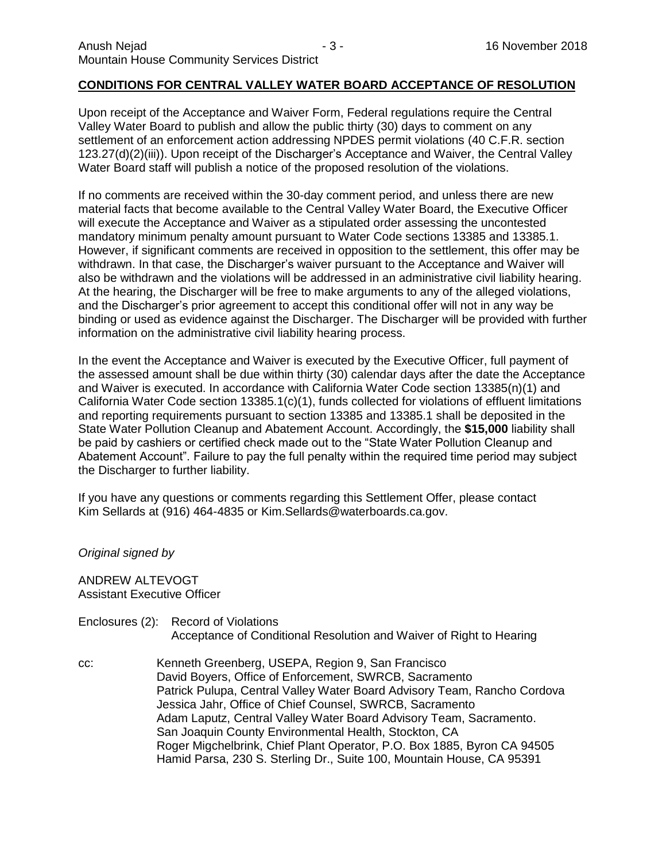### **CONDITIONS FOR CENTRAL VALLEY WATER BOARD ACCEPTANCE OF RESOLUTION**

Upon receipt of the Acceptance and Waiver Form, Federal regulations require the Central Valley Water Board to publish and allow the public thirty (30) days to comment on any settlement of an enforcement action addressing NPDES permit violations (40 C.F.R. section 123.27(d)(2)(iii)). Upon receipt of the Discharger's Acceptance and Waiver, the Central Valley Water Board staff will publish a notice of the proposed resolution of the violations.

If no comments are received within the 30-day comment period, and unless there are new material facts that become available to the Central Valley Water Board, the Executive Officer will execute the Acceptance and Waiver as a stipulated order assessing the uncontested mandatory minimum penalty amount pursuant to Water Code sections 13385 and 13385.1. However, if significant comments are received in opposition to the settlement, this offer may be withdrawn. In that case, the Discharger's waiver pursuant to the Acceptance and Waiver will also be withdrawn and the violations will be addressed in an administrative civil liability hearing. At the hearing, the Discharger will be free to make arguments to any of the alleged violations, and the Discharger's prior agreement to accept this conditional offer will not in any way be binding or used as evidence against the Discharger. The Discharger will be provided with further information on the administrative civil liability hearing process.

In the event the Acceptance and Waiver is executed by the Executive Officer, full payment of the assessed amount shall be due within thirty (30) calendar days after the date the Acceptance and Waiver is executed. In accordance with California Water Code section 13385(n)(1) and California Water Code section 13385.1(c)(1), funds collected for violations of effluent limitations and reporting requirements pursuant to section 13385 and 13385.1 shall be deposited in the State Water Pollution Cleanup and Abatement Account. Accordingly, the **\$15,000** liability shall be paid by cashiers or certified check made out to the "State Water Pollution Cleanup and Abatement Account". Failure to pay the full penalty within the required time period may subject the Discharger to further liability.

If you have any questions or comments regarding this Settlement Offer, please contact Kim Sellards at (916) 464-4835 or Kim.Sellards@waterboards.ca.gov.

*Original signed by* 

ANDREW ALTEVOGT Assistant Executive Officer

Enclosures (2): Record of Violations Acceptance of Conditional Resolution and Waiver of Right to Hearing

cc: Kenneth Greenberg, USEPA, Region 9, San Francisco David Boyers, Office of Enforcement, SWRCB, Sacramento Patrick Pulupa, Central Valley Water Board Advisory Team, Rancho Cordova Jessica Jahr, Office of Chief Counsel, SWRCB, Sacramento Adam Laputz, Central Valley Water Board Advisory Team, Sacramento. San Joaquin County Environmental Health, Stockton, CA Roger Migchelbrink, Chief Plant Operator, P.O. Box 1885, Byron CA 94505 Hamid Parsa, 230 S. Sterling Dr., Suite 100, Mountain House, CA 95391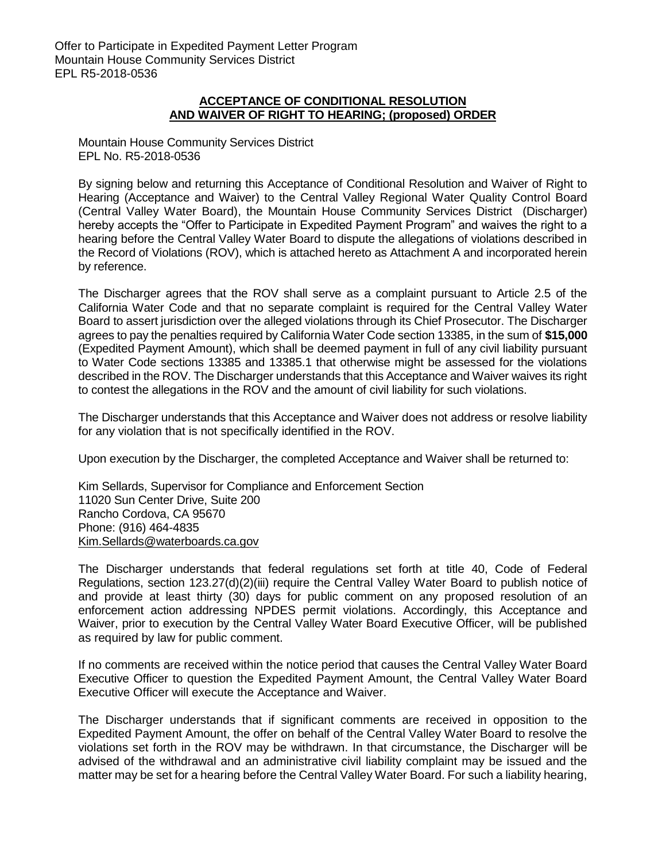### **ACCEPTANCE OF CONDITIONAL RESOLUTION AND WAIVER OF RIGHT TO HEARING; (proposed) ORDER**

Mountain House Community Services District EPL No. R5-2018-0536

By signing below and returning this Acceptance of Conditional Resolution and Waiver of Right to Hearing (Acceptance and Waiver) to the Central Valley Regional Water Quality Control Board (Central Valley Water Board), the Mountain House Community Services District (Discharger) hereby accepts the "Offer to Participate in Expedited Payment Program" and waives the right to a hearing before the Central Valley Water Board to dispute the allegations of violations described in the Record of Violations (ROV), which is attached hereto as Attachment A and incorporated herein by reference.

The Discharger agrees that the ROV shall serve as a complaint pursuant to Article 2.5 of the California Water Code and that no separate complaint is required for the Central Valley Water Board to assert jurisdiction over the alleged violations through its Chief Prosecutor. The Discharger agrees to pay the penalties required by California Water Code section 13385, in the sum of **\$15,000** (Expedited Payment Amount), which shall be deemed payment in full of any civil liability pursuant to Water Code sections 13385 and 13385.1 that otherwise might be assessed for the violations described in the ROV. The Discharger understands that this Acceptance and Waiver waives its right to contest the allegations in the ROV and the amount of civil liability for such violations.

The Discharger understands that this Acceptance and Waiver does not address or resolve liability for any violation that is not specifically identified in the ROV.

Upon execution by the Discharger, the completed Acceptance and Waiver shall be returned to:

Kim Sellards, Supervisor for Compliance and Enforcement Section 11020 Sun Center Drive, Suite 200 Rancho Cordova, CA 95670 Phone: (916) 464-4835 [Kim.Sellards@waterboards.ca.gov](mailto:Kim.Sellards@waterboards.ca.gov)

The Discharger understands that federal regulations set forth at title 40, Code of Federal Regulations, section 123.27(d)(2)(iii) require the Central Valley Water Board to publish notice of and provide at least thirty (30) days for public comment on any proposed resolution of an enforcement action addressing NPDES permit violations. Accordingly, this Acceptance and Waiver, prior to execution by the Central Valley Water Board Executive Officer, will be published as required by law for public comment.

If no comments are received within the notice period that causes the Central Valley Water Board Executive Officer to question the Expedited Payment Amount, the Central Valley Water Board Executive Officer will execute the Acceptance and Waiver.

The Discharger understands that if significant comments are received in opposition to the Expedited Payment Amount, the offer on behalf of the Central Valley Water Board to resolve the violations set forth in the ROV may be withdrawn. In that circumstance, the Discharger will be advised of the withdrawal and an administrative civil liability complaint may be issued and the matter may be set for a hearing before the Central Valley Water Board. For such a liability hearing,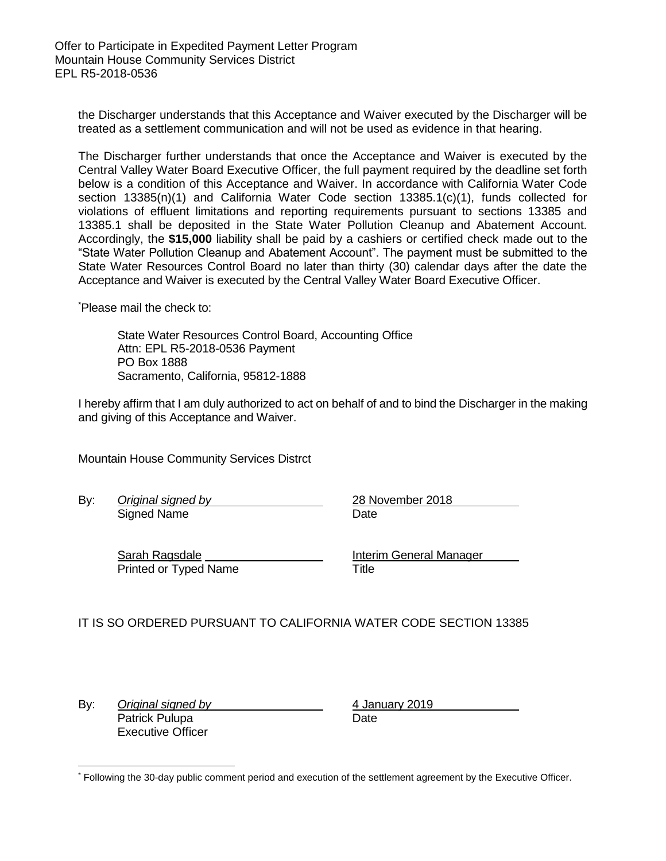Offer to Participate in Expedited Payment Letter Program Mountain House Community Services District EPL R5-2018-0536

the Discharger understands that this Acceptance and Waiver executed by the Discharger will be treated as a settlement communication and will not be used as evidence in that hearing.

The Discharger further understands that once the Acceptance and Waiver is executed by the Central Valley Water Board Executive Officer, the full payment required by the deadline set forth below is a condition of this Acceptance and Waiver. In accordance with California Water Code section 13385(n)(1) and California Water Code section 13385.1(c)(1), funds collected for violations of effluent limitations and reporting requirements pursuant to sections 13385 and 13385.1 shall be deposited in the State Water Pollution Cleanup and Abatement Account. Accordingly, the **\$15,000** liability shall be paid by a cashiers or certified check made out to the "State Water Pollution Cleanup and Abatement Account". The payment must be submitted to the State Water Resources Control Board no later than thirty (30) calendar days after the date the Acceptance and Waiver is executed by the Central Valley Water Board Executive Officer.

\*Please mail the check to:

State Water Resources Control Board, Accounting Office Attn: EPL R5-2018-0536 Payment PO Box 1888 Sacramento, California, 95812-1888

I hereby affirm that I am duly authorized to act on behalf of and to bind the Discharger in the making and giving of this Acceptance and Waiver.

Mountain House Community Services Distrct

Signed Name Date

By: *Original signed by* 28 November 2018

Sarah Ragsdale **Interim General Manager Interim General Manager** Printed or Typed Name Title

### IT IS SO ORDERED PURSUANT TO CALIFORNIA WATER CODE SECTION 13385

By: *Original signed by* 4 January 2019 Patrick Pulupa Date Executive Officer

 \* Following the 30-day public comment period and execution of the settlement agreement by the Executive Officer.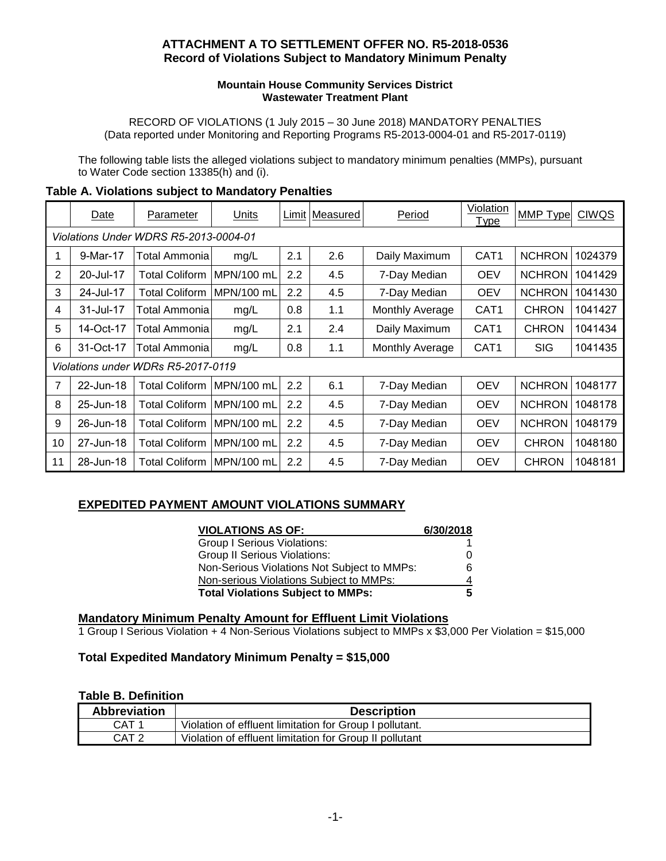## **ATTACHMENT A TO SETTLEMENT OFFER NO. R5-2018-0536 Record of Violations Subject to Mandatory Minimum Penalty**

#### **Mountain House Community Services District Wastewater Treatment Plant**

RECORD OF VIOLATIONS (1 July 2015 – 30 June 2018) MANDATORY PENALTIES (Data reported under Monitoring and Reporting Programs R5-2013-0004-01 and R5-2017-0119)

The following table lists the alleged violations subject to mandatory minimum penalties (MMPs), pursuant to Water Code section 13385(h) and (i).

|                                       | Date      | Parameter                  | Units       |     | Limit   Measured | Period          | <b>Violation</b><br><b>Type</b> | MMP Type      | <b>CIWQS</b> |  |
|---------------------------------------|-----------|----------------------------|-------------|-----|------------------|-----------------|---------------------------------|---------------|--------------|--|
| Violations Under WDRS R5-2013-0004-01 |           |                            |             |     |                  |                 |                                 |               |              |  |
| 1                                     | 9-Mar-17  | Total Ammonia              | mg/L        | 2.1 | 2.6              | Daily Maximum   | CAT <sub>1</sub>                | <b>NCHRON</b> | 1024379      |  |
| 2                                     | 20-Jul-17 | Total Coliform             | IMPN/100 mL | 2.2 | 4.5              | 7-Day Median    | <b>OEV</b>                      | <b>NCHRON</b> | 1041429      |  |
| 3                                     | 24-Jul-17 | Total Coliform             | MPN/100 mL  | 2.2 | 4.5              | 7-Day Median    | <b>OEV</b>                      | <b>NCHRON</b> | 1041430      |  |
| 4                                     | 31-Jul-17 | Total Ammonia              | mg/L        | 0.8 | 1.1              | Monthly Average | CAT <sub>1</sub>                | <b>CHRON</b>  | 1041427      |  |
| 5                                     | 14-Oct-17 | Total Ammonia              | mg/L        | 2.1 | 2.4              | Daily Maximum   | CAT <sub>1</sub>                | <b>CHRON</b>  | 1041434      |  |
| 6                                     | 31-Oct-17 | Total Ammonia              | mg/L        | 0.8 | 1.1              | Monthly Average | CAT <sub>1</sub>                | <b>SIG</b>    | 1041435      |  |
| Violations under WDRs R5-2017-0119    |           |                            |             |     |                  |                 |                                 |               |              |  |
| 7                                     | 22-Jun-18 | <b>Total Coliform</b>      | IMPN/100 mL | 2.2 | 6.1              | 7-Day Median    | <b>OEV</b>                      | <b>NCHRON</b> | 1048177      |  |
| 8                                     | 25-Jun-18 | Total Coliform_            | IMPN/100 mL | 2.2 | 4.5              | 7-Day Median    | <b>OEV</b>                      | <b>NCHRON</b> | 1048178      |  |
| 9                                     | 26-Jun-18 | Total Coliform             | IMPN/100 mL | 2.2 | 4.5              | 7-Day Median    | <b>OEV</b>                      | <b>NCHRON</b> | 1048179      |  |
| 10                                    | 27-Jun-18 | Total Coliform             | MPN/100 mL  | 2.2 | 4.5              | 7-Day Median    | <b>OEV</b>                      | <b>CHRON</b>  | 1048180      |  |
| 11                                    | 28-Jun-18 | Total Coliform  MPN/100 mL |             | 2.2 | 4.5              | 7-Day Median    | <b>OEV</b>                      | <b>CHRON</b>  | 1048181      |  |

## **Table A. Violations subject to Mandatory Penalties**

# **EXPEDITED PAYMENT AMOUNT VIOLATIONS SUMMARY**

| <b>VIOLATIONS AS OF:</b>                    | 6/30/2018 |
|---------------------------------------------|-----------|
| <b>Group I Serious Violations:</b>          |           |
| <b>Group II Serious Violations:</b>         | $\left($  |
| Non-Serious Violations Not Subject to MMPs: | 6         |
| Non-serious Violations Subject to MMPs:     |           |
| <b>Total Violations Subject to MMPs:</b>    | 5         |

## **Mandatory Minimum Penalty Amount for Effluent Limit Violations**

1 Group I Serious Violation + 4 Non-Serious Violations subject to MMPs x \$3,000 Per Violation = \$15,000

### **Total Expedited Mandatory Minimum Penalty = \$15,000**

### **Table B. Definition**

| <b>Abbreviation</b> | <b>Description</b>                                      |
|---------------------|---------------------------------------------------------|
| CAT <sub>1</sub>    | Violation of effluent limitation for Group I pollutant. |
| CAT <sub>2</sub>    | Violation of effluent limitation for Group II pollutant |